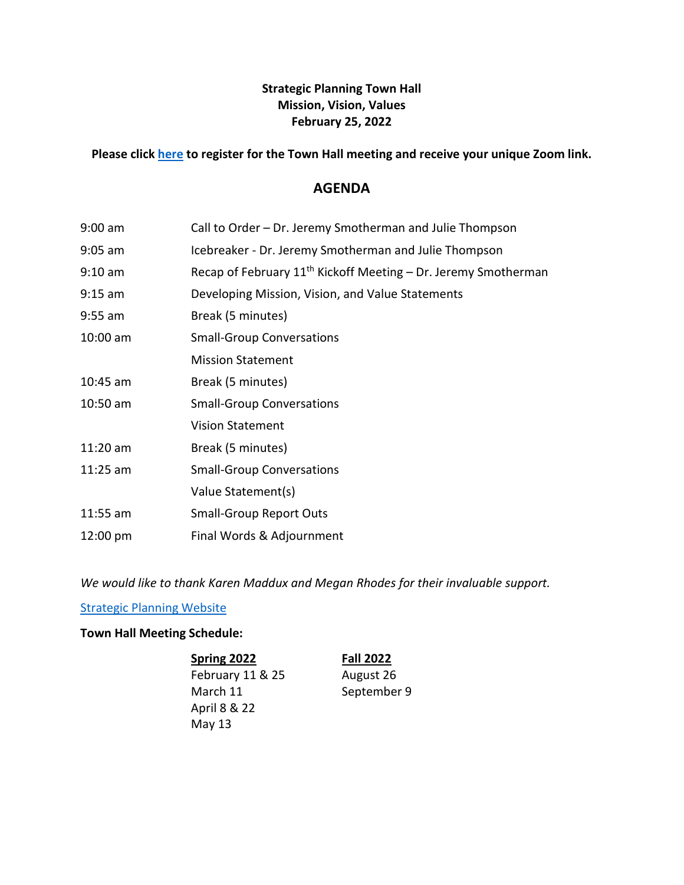## **Strategic Planning Town Hall Mission, Vision, Values February 25, 2022**

### **Please click [here](https://strategic-planning.santarosa.edu/town-hall-meeting-schedule) to register for the Town Hall meeting and receive your unique Zoom link.**

## **AGENDA**

| $9:00$ am  | Call to Order – Dr. Jeremy Smotherman and Julie Thompson                   |
|------------|----------------------------------------------------------------------------|
| $9:05$ am  | Icebreaker - Dr. Jeremy Smotherman and Julie Thompson                      |
| $9:10$ am  | Recap of February 11 <sup>th</sup> Kickoff Meeting - Dr. Jeremy Smotherman |
| $9:15$ am  | Developing Mission, Vision, and Value Statements                           |
| $9:55$ am  | Break (5 minutes)                                                          |
| $10:00$ am | <b>Small-Group Conversations</b>                                           |
|            | <b>Mission Statement</b>                                                   |
| $10:45$ am | Break (5 minutes)                                                          |
| $10:50$ am | <b>Small-Group Conversations</b>                                           |
|            | <b>Vision Statement</b>                                                    |
| $11:20$ am | Break (5 minutes)                                                          |
| $11:25$ am | <b>Small-Group Conversations</b>                                           |
|            | Value Statement(s)                                                         |
| $11:55$ am | <b>Small-Group Report Outs</b>                                             |
| 12:00 pm   | Final Words & Adjournment                                                  |

*We would like to thank Karen Maddux and Megan Rhodes for their invaluable support.*

[Strategic Planning Website](https://strategic-planning.santarosa.edu/)

### **Town Hall Meeting Schedule:**

**Spring 2022 Fall 2022** February 11 & 25 August 26 March 11 September 9 April 8 & 22 May 13